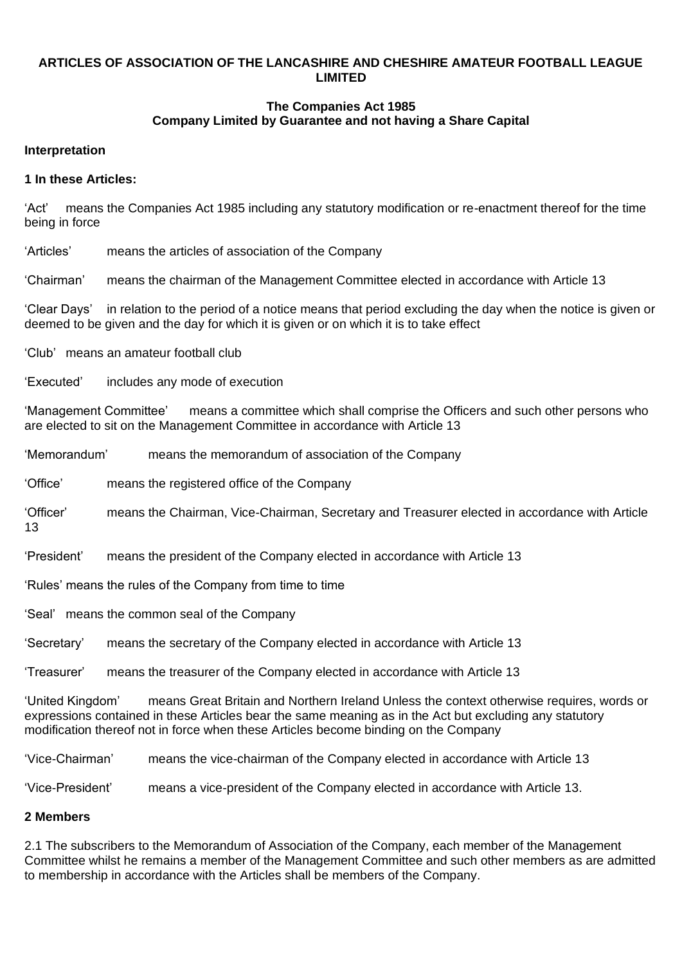### **ARTICLES OF ASSOCIATION OF THE LANCASHIRE AND CHESHIRE AMATEUR FOOTBALL LEAGUE LIMITED**

## **The Companies Act 1985 Company Limited by Guarantee and not having a Share Capital**

#### **Interpretation**

#### **1 In these Articles:**

'Act' means the Companies Act 1985 including any statutory modification or re-enactment thereof for the time being in force

'Articles' means the articles of association of the Company

'Chairman' means the chairman of the Management Committee elected in accordance with Article 13

'Clear Days' in relation to the period of a notice means that period excluding the day when the notice is given or deemed to be given and the day for which it is given or on which it is to take effect

'Club' means an amateur football club

'Executed' includes any mode of execution

'Management Committee' means a committee which shall comprise the Officers and such other persons who are elected to sit on the Management Committee in accordance with Article 13

'Memorandum' means the memorandum of association of the Company

'Office' means the registered office of the Company

'Officer' means the Chairman, Vice-Chairman, Secretary and Treasurer elected in accordance with Article 13

'President' means the president of the Company elected in accordance with Article 13

'Rules' means the rules of the Company from time to time

'Seal' means the common seal of the Company

'Secretary' means the secretary of the Company elected in accordance with Article 13

'Treasurer' means the treasurer of the Company elected in accordance with Article 13

'United Kingdom' means Great Britain and Northern Ireland Unless the context otherwise requires, words or expressions contained in these Articles bear the same meaning as in the Act but excluding any statutory modification thereof not in force when these Articles become binding on the Company

'Vice-Chairman' means the vice-chairman of the Company elected in accordance with Article 13

'Vice-President' means a vice-president of the Company elected in accordance with Article 13.

#### **2 Members**

2.1 The subscribers to the Memorandum of Association of the Company, each member of the Management Committee whilst he remains a member of the Management Committee and such other members as are admitted to membership in accordance with the Articles shall be members of the Company.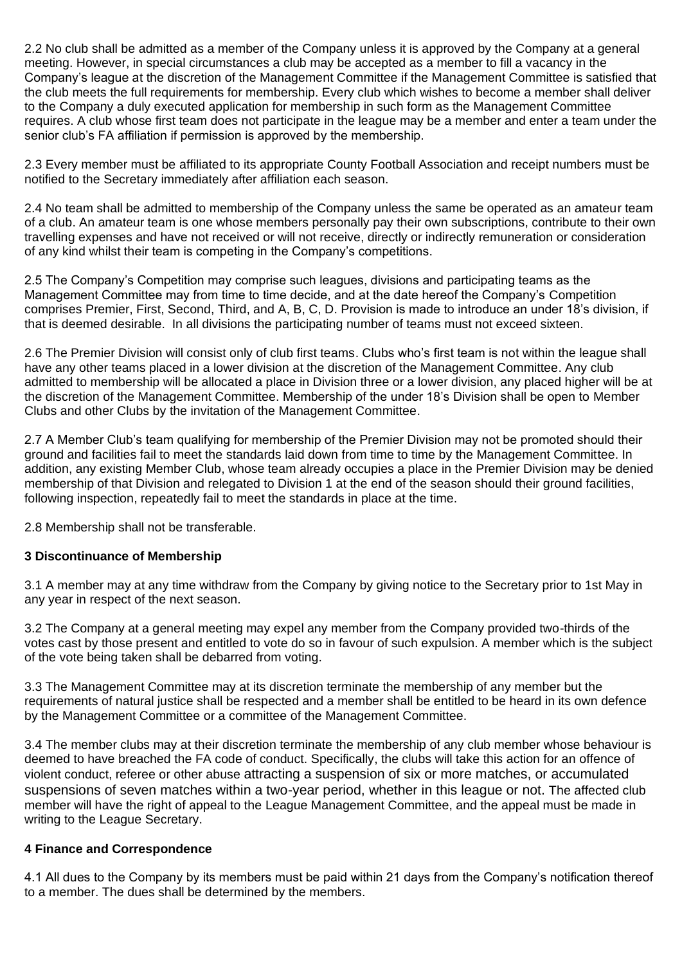2.2 No club shall be admitted as a member of the Company unless it is approved by the Company at a general meeting. However, in special circumstances a club may be accepted as a member to fill a vacancy in the Company's league at the discretion of the Management Committee if the Management Committee is satisfied that the club meets the full requirements for membership. Every club which wishes to become a member shall deliver to the Company a duly executed application for membership in such form as the Management Committee requires. A club whose first team does not participate in the league may be a member and enter a team under the senior club's FA affiliation if permission is approved by the membership.

2.3 Every member must be affiliated to its appropriate County Football Association and receipt numbers must be notified to the Secretary immediately after affiliation each season.

2.4 No team shall be admitted to membership of the Company unless the same be operated as an amateur team of a club. An amateur team is one whose members personally pay their own subscriptions, contribute to their own travelling expenses and have not received or will not receive, directly or indirectly remuneration or consideration of any kind whilst their team is competing in the Company's competitions.

2.5 The Company's Competition may comprise such leagues, divisions and participating teams as the Management Committee may from time to time decide, and at the date hereof the Company's Competition comprises Premier, First, Second, Third, and A, B, C, D. Provision is made to introduce an under 18's division, if that is deemed desirable. In all divisions the participating number of teams must not exceed sixteen.

2.6 The Premier Division will consist only of club first teams. Clubs who's first team is not within the league shall have any other teams placed in a lower division at the discretion of the Management Committee. Any club admitted to membership will be allocated a place in Division three or a lower division, any placed higher will be at the discretion of the Management Committee. Membership of the under 18's Division shall be open to Member Clubs and other Clubs by the invitation of the Management Committee.

2.7 A Member Club's team qualifying for membership of the Premier Division may not be promoted should their ground and facilities fail to meet the standards laid down from time to time by the Management Committee. In addition, any existing Member Club, whose team already occupies a place in the Premier Division may be denied membership of that Division and relegated to Division 1 at the end of the season should their ground facilities, following inspection, repeatedly fail to meet the standards in place at the time.

2.8 Membership shall not be transferable.

### **3 Discontinuance of Membership**

3.1 A member may at any time withdraw from the Company by giving notice to the Secretary prior to 1st May in any year in respect of the next season.

3.2 The Company at a general meeting may expel any member from the Company provided two-thirds of the votes cast by those present and entitled to vote do so in favour of such expulsion. A member which is the subject of the vote being taken shall be debarred from voting.

3.3 The Management Committee may at its discretion terminate the membership of any member but the requirements of natural justice shall be respected and a member shall be entitled to be heard in its own defence by the Management Committee or a committee of the Management Committee.

3.4 The member clubs may at their discretion terminate the membership of any club member whose behaviour is deemed to have breached the FA code of conduct. Specifically, the clubs will take this action for an offence of violent conduct, referee or other abuse attracting a suspension of six or more matches, or accumulated suspensions of seven matches within a two-year period, whether in this league or not. The affected club member will have the right of appeal to the League Management Committee, and the appeal must be made in writing to the League Secretary.

### **4 Finance and Correspondence**

4.1 All dues to the Company by its members must be paid within 21 days from the Company's notification thereof to a member. The dues shall be determined by the members.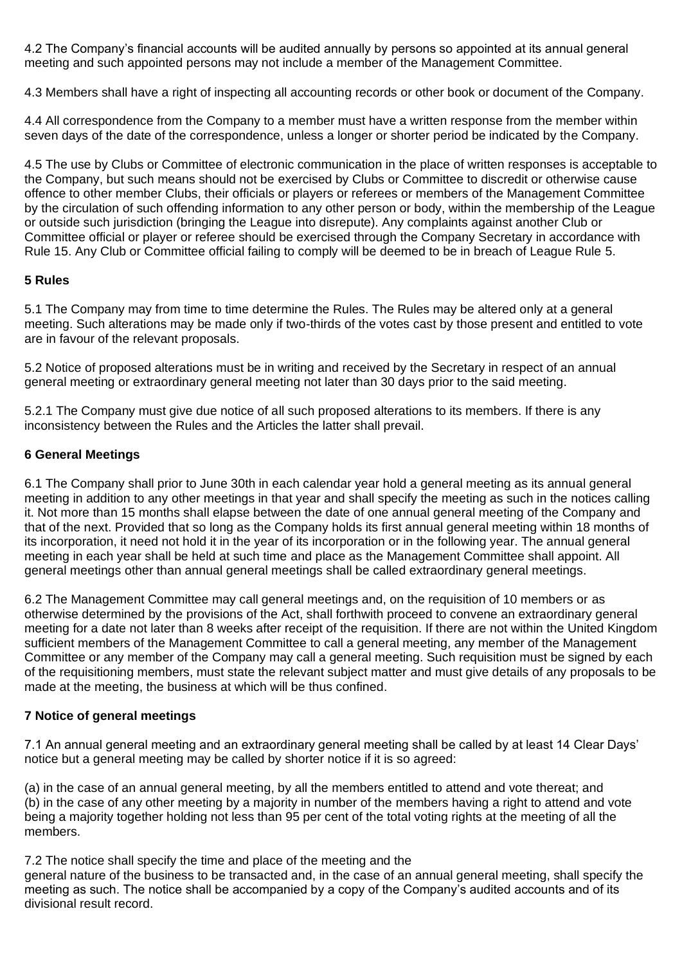4.2 The Company's financial accounts will be audited annually by persons so appointed at its annual general meeting and such appointed persons may not include a member of the Management Committee.

4.3 Members shall have a right of inspecting all accounting records or other book or document of the Company.

4.4 All correspondence from the Company to a member must have a written response from the member within seven days of the date of the correspondence, unless a longer or shorter period be indicated by the Company.

4.5 The use by Clubs or Committee of electronic communication in the place of written responses is acceptable to the Company, but such means should not be exercised by Clubs or Committee to discredit or otherwise cause offence to other member Clubs, their officials or players or referees or members of the Management Committee by the circulation of such offending information to any other person or body, within the membership of the League or outside such jurisdiction (bringing the League into disrepute). Any complaints against another Club or Committee official or player or referee should be exercised through the Company Secretary in accordance with Rule 15. Any Club or Committee official failing to comply will be deemed to be in breach of League Rule 5.

### **5 Rules**

5.1 The Company may from time to time determine the Rules. The Rules may be altered only at a general meeting. Such alterations may be made only if two-thirds of the votes cast by those present and entitled to vote are in favour of the relevant proposals.

5.2 Notice of proposed alterations must be in writing and received by the Secretary in respect of an annual general meeting or extraordinary general meeting not later than 30 days prior to the said meeting.

5.2.1 The Company must give due notice of all such proposed alterations to its members. If there is any inconsistency between the Rules and the Articles the latter shall prevail.

## **6 General Meetings**

6.1 The Company shall prior to June 30th in each calendar year hold a general meeting as its annual general meeting in addition to any other meetings in that year and shall specify the meeting as such in the notices calling it. Not more than 15 months shall elapse between the date of one annual general meeting of the Company and that of the next. Provided that so long as the Company holds its first annual general meeting within 18 months of its incorporation, it need not hold it in the year of its incorporation or in the following year. The annual general meeting in each year shall be held at such time and place as the Management Committee shall appoint. All general meetings other than annual general meetings shall be called extraordinary general meetings.

6.2 The Management Committee may call general meetings and, on the requisition of 10 members or as otherwise determined by the provisions of the Act, shall forthwith proceed to convene an extraordinary general meeting for a date not later than 8 weeks after receipt of the requisition. If there are not within the United Kingdom sufficient members of the Management Committee to call a general meeting, any member of the Management Committee or any member of the Company may call a general meeting. Such requisition must be signed by each of the requisitioning members, must state the relevant subject matter and must give details of any proposals to be made at the meeting, the business at which will be thus confined.

## **7 Notice of general meetings**

7.1 An annual general meeting and an extraordinary general meeting shall be called by at least 14 Clear Days' notice but a general meeting may be called by shorter notice if it is so agreed:

(a) in the case of an annual general meeting, by all the members entitled to attend and vote thereat; and (b) in the case of any other meeting by a majority in number of the members having a right to attend and vote being a majority together holding not less than 95 per cent of the total voting rights at the meeting of all the members.

7.2 The notice shall specify the time and place of the meeting and the

general nature of the business to be transacted and, in the case of an annual general meeting, shall specify the meeting as such. The notice shall be accompanied by a copy of the Company's audited accounts and of its divisional result record.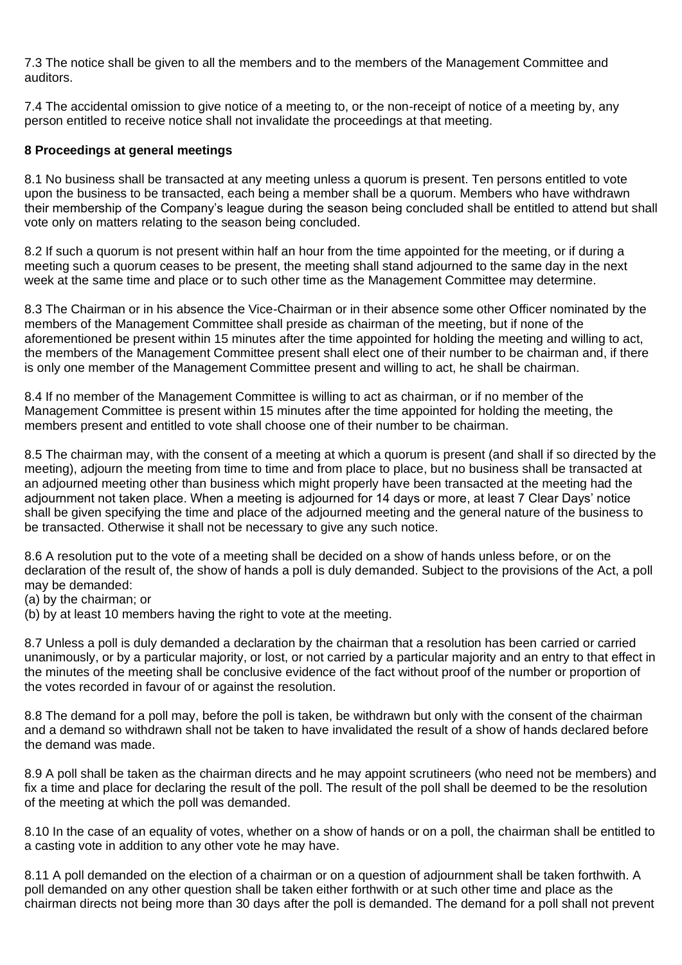7.3 The notice shall be given to all the members and to the members of the Management Committee and auditors.

7.4 The accidental omission to give notice of a meeting to, or the non-receipt of notice of a meeting by, any person entitled to receive notice shall not invalidate the proceedings at that meeting.

### **8 Proceedings at general meetings**

8.1 No business shall be transacted at any meeting unless a quorum is present. Ten persons entitled to vote upon the business to be transacted, each being a member shall be a quorum. Members who have withdrawn their membership of the Company's league during the season being concluded shall be entitled to attend but shall vote only on matters relating to the season being concluded.

8.2 If such a quorum is not present within half an hour from the time appointed for the meeting, or if during a meeting such a quorum ceases to be present, the meeting shall stand adjourned to the same day in the next week at the same time and place or to such other time as the Management Committee may determine.

8.3 The Chairman or in his absence the Vice-Chairman or in their absence some other Officer nominated by the members of the Management Committee shall preside as chairman of the meeting, but if none of the aforementioned be present within 15 minutes after the time appointed for holding the meeting and willing to act, the members of the Management Committee present shall elect one of their number to be chairman and, if there is only one member of the Management Committee present and willing to act, he shall be chairman.

8.4 If no member of the Management Committee is willing to act as chairman, or if no member of the Management Committee is present within 15 minutes after the time appointed for holding the meeting, the members present and entitled to vote shall choose one of their number to be chairman.

8.5 The chairman may, with the consent of a meeting at which a quorum is present (and shall if so directed by the meeting), adjourn the meeting from time to time and from place to place, but no business shall be transacted at an adjourned meeting other than business which might properly have been transacted at the meeting had the adjournment not taken place. When a meeting is adjourned for 14 days or more, at least 7 Clear Days' notice shall be given specifying the time and place of the adjourned meeting and the general nature of the business to be transacted. Otherwise it shall not be necessary to give any such notice.

8.6 A resolution put to the vote of a meeting shall be decided on a show of hands unless before, or on the declaration of the result of, the show of hands a poll is duly demanded. Subject to the provisions of the Act, a poll may be demanded:

(a) by the chairman; or

(b) by at least 10 members having the right to vote at the meeting.

8.7 Unless a poll is duly demanded a declaration by the chairman that a resolution has been carried or carried unanimously, or by a particular majority, or lost, or not carried by a particular majority and an entry to that effect in the minutes of the meeting shall be conclusive evidence of the fact without proof of the number or proportion of the votes recorded in favour of or against the resolution.

8.8 The demand for a poll may, before the poll is taken, be withdrawn but only with the consent of the chairman and a demand so withdrawn shall not be taken to have invalidated the result of a show of hands declared before the demand was made.

8.9 A poll shall be taken as the chairman directs and he may appoint scrutineers (who need not be members) and fix a time and place for declaring the result of the poll. The result of the poll shall be deemed to be the resolution of the meeting at which the poll was demanded.

8.10 In the case of an equality of votes, whether on a show of hands or on a poll, the chairman shall be entitled to a casting vote in addition to any other vote he may have.

8.11 A poll demanded on the election of a chairman or on a question of adjournment shall be taken forthwith. A poll demanded on any other question shall be taken either forthwith or at such other time and place as the chairman directs not being more than 30 days after the poll is demanded. The demand for a poll shall not prevent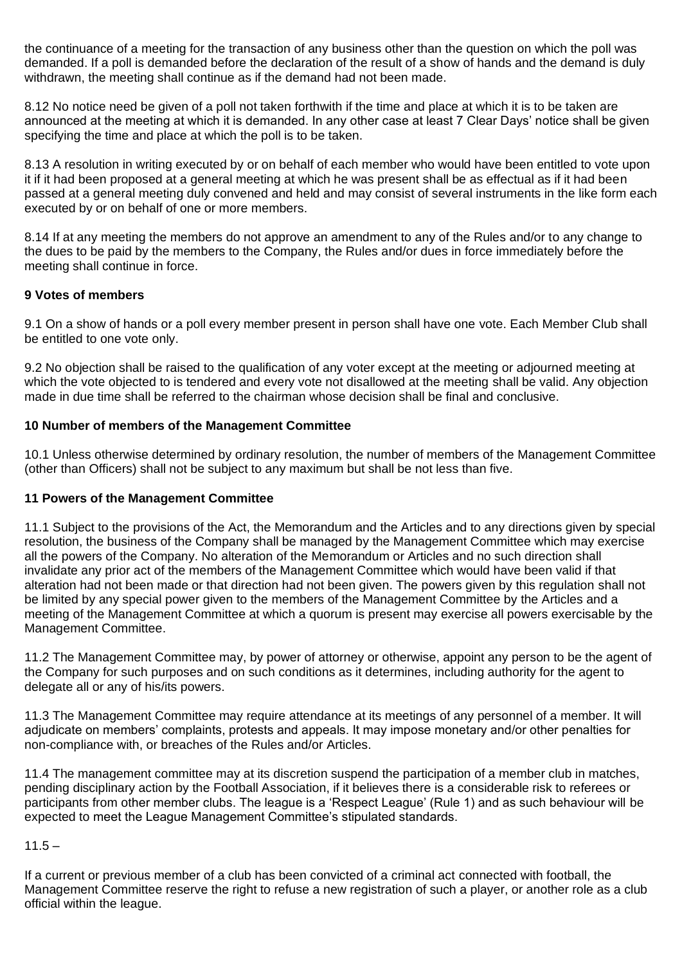the continuance of a meeting for the transaction of any business other than the question on which the poll was demanded. If a poll is demanded before the declaration of the result of a show of hands and the demand is duly withdrawn, the meeting shall continue as if the demand had not been made.

8.12 No notice need be given of a poll not taken forthwith if the time and place at which it is to be taken are announced at the meeting at which it is demanded. In any other case at least 7 Clear Days' notice shall be given specifying the time and place at which the poll is to be taken.

8.13 A resolution in writing executed by or on behalf of each member who would have been entitled to vote upon it if it had been proposed at a general meeting at which he was present shall be as effectual as if it had been passed at a general meeting duly convened and held and may consist of several instruments in the like form each executed by or on behalf of one or more members.

8.14 If at any meeting the members do not approve an amendment to any of the Rules and/or to any change to the dues to be paid by the members to the Company, the Rules and/or dues in force immediately before the meeting shall continue in force.

## **9 Votes of members**

9.1 On a show of hands or a poll every member present in person shall have one vote. Each Member Club shall be entitled to one vote only.

9.2 No objection shall be raised to the qualification of any voter except at the meeting or adjourned meeting at which the vote objected to is tendered and every vote not disallowed at the meeting shall be valid. Any objection made in due time shall be referred to the chairman whose decision shall be final and conclusive.

## **10 Number of members of the Management Committee**

10.1 Unless otherwise determined by ordinary resolution, the number of members of the Management Committee (other than Officers) shall not be subject to any maximum but shall be not less than five.

### **11 Powers of the Management Committee**

11.1 Subject to the provisions of the Act, the Memorandum and the Articles and to any directions given by special resolution, the business of the Company shall be managed by the Management Committee which may exercise all the powers of the Company. No alteration of the Memorandum or Articles and no such direction shall invalidate any prior act of the members of the Management Committee which would have been valid if that alteration had not been made or that direction had not been given. The powers given by this regulation shall not be limited by any special power given to the members of the Management Committee by the Articles and a meeting of the Management Committee at which a quorum is present may exercise all powers exercisable by the Management Committee.

11.2 The Management Committee may, by power of attorney or otherwise, appoint any person to be the agent of the Company for such purposes and on such conditions as it determines, including authority for the agent to delegate all or any of his/its powers.

11.3 The Management Committee may require attendance at its meetings of any personnel of a member. It will adjudicate on members' complaints, protests and appeals. It may impose monetary and/or other penalties for non-compliance with, or breaches of the Rules and/or Articles.

11.4 The management committee may at its discretion suspend the participation of a member club in matches, pending disciplinary action by the Football Association, if it believes there is a considerable risk to referees or participants from other member clubs. The league is a 'Respect League' (Rule 1) and as such behaviour will be expected to meet the League Management Committee's stipulated standards.

### $11.5 -$

If a current or previous member of a club has been convicted of a criminal act connected with football, the Management Committee reserve the right to refuse a new registration of such a player, or another role as a club official within the league.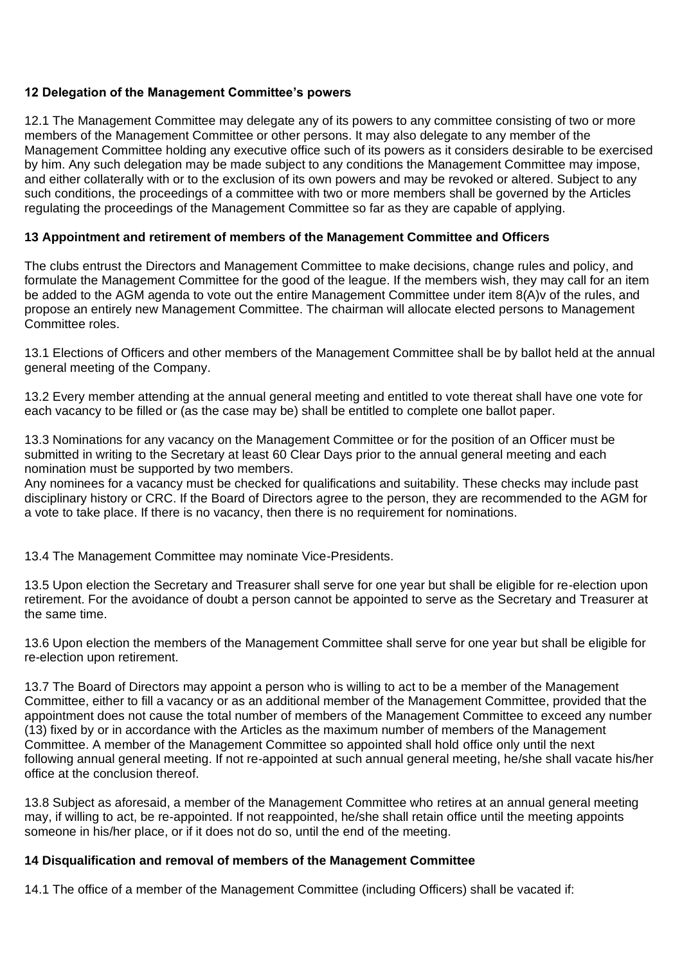## **12 Delegation of the Management Committee's powers**

12.1 The Management Committee may delegate any of its powers to any committee consisting of two or more members of the Management Committee or other persons. It may also delegate to any member of the Management Committee holding any executive office such of its powers as it considers desirable to be exercised by him. Any such delegation may be made subject to any conditions the Management Committee may impose, and either collaterally with or to the exclusion of its own powers and may be revoked or altered. Subject to any such conditions, the proceedings of a committee with two or more members shall be governed by the Articles regulating the proceedings of the Management Committee so far as they are capable of applying.

### **13 Appointment and retirement of members of the Management Committee and Officers**

The clubs entrust the Directors and Management Committee to make decisions, change rules and policy, and formulate the Management Committee for the good of the league. If the members wish, they may call for an item be added to the AGM agenda to vote out the entire Management Committee under item 8(A)v of the rules, and propose an entirely new Management Committee. The chairman will allocate elected persons to Management Committee roles.

13.1 Elections of Officers and other members of the Management Committee shall be by ballot held at the annual general meeting of the Company.

13.2 Every member attending at the annual general meeting and entitled to vote thereat shall have one vote for each vacancy to be filled or (as the case may be) shall be entitled to complete one ballot paper.

13.3 Nominations for any vacancy on the Management Committee or for the position of an Officer must be submitted in writing to the Secretary at least 60 Clear Days prior to the annual general meeting and each nomination must be supported by two members.

Any nominees for a vacancy must be checked for qualifications and suitability. These checks may include past disciplinary history or CRC. If the Board of Directors agree to the person, they are recommended to the AGM for a vote to take place. If there is no vacancy, then there is no requirement for nominations.

13.4 The Management Committee may nominate Vice-Presidents.

13.5 Upon election the Secretary and Treasurer shall serve for one year but shall be eligible for re-election upon retirement. For the avoidance of doubt a person cannot be appointed to serve as the Secretary and Treasurer at the same time.

13.6 Upon election the members of the Management Committee shall serve for one year but shall be eligible for re-election upon retirement.

13.7 The Board of Directors may appoint a person who is willing to act to be a member of the Management Committee, either to fill a vacancy or as an additional member of the Management Committee, provided that the appointment does not cause the total number of members of the Management Committee to exceed any number (13) fixed by or in accordance with the Articles as the maximum number of members of the Management Committee. A member of the Management Committee so appointed shall hold office only until the next following annual general meeting. If not re-appointed at such annual general meeting, he/she shall vacate his/her office at the conclusion thereof.

13.8 Subject as aforesaid, a member of the Management Committee who retires at an annual general meeting may, if willing to act, be re-appointed. If not reappointed, he/she shall retain office until the meeting appoints someone in his/her place, or if it does not do so, until the end of the meeting.

### **14 Disqualification and removal of members of the Management Committee**

14.1 The office of a member of the Management Committee (including Officers) shall be vacated if: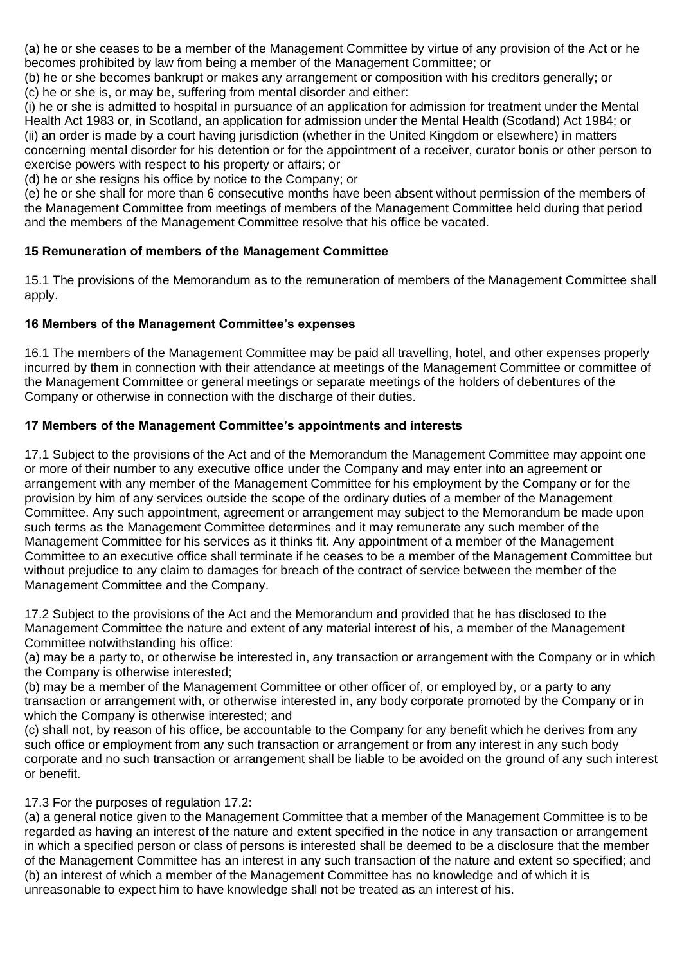(a) he or she ceases to be a member of the Management Committee by virtue of any provision of the Act or he becomes prohibited by law from being a member of the Management Committee; or

(b) he or she becomes bankrupt or makes any arrangement or composition with his creditors generally; or (c) he or she is, or may be, suffering from mental disorder and either:

(i) he or she is admitted to hospital in pursuance of an application for admission for treatment under the Mental Health Act 1983 or, in Scotland, an application for admission under the Mental Health (Scotland) Act 1984; or (ii) an order is made by a court having jurisdiction (whether in the United Kingdom or elsewhere) in matters concerning mental disorder for his detention or for the appointment of a receiver, curator bonis or other person to exercise powers with respect to his property or affairs; or

(d) he or she resigns his office by notice to the Company; or

(e) he or she shall for more than 6 consecutive months have been absent without permission of the members of the Management Committee from meetings of members of the Management Committee held during that period and the members of the Management Committee resolve that his office be vacated.

# **15 Remuneration of members of the Management Committee**

15.1 The provisions of the Memorandum as to the remuneration of members of the Management Committee shall apply.

## **16 Members of the Management Committee's expenses**

16.1 The members of the Management Committee may be paid all travelling, hotel, and other expenses properly incurred by them in connection with their attendance at meetings of the Management Committee or committee of the Management Committee or general meetings or separate meetings of the holders of debentures of the Company or otherwise in connection with the discharge of their duties.

## **17 Members of the Management Committee's appointments and interests**

17.1 Subject to the provisions of the Act and of the Memorandum the Management Committee may appoint one or more of their number to any executive office under the Company and may enter into an agreement or arrangement with any member of the Management Committee for his employment by the Company or for the provision by him of any services outside the scope of the ordinary duties of a member of the Management Committee. Any such appointment, agreement or arrangement may subject to the Memorandum be made upon such terms as the Management Committee determines and it may remunerate any such member of the Management Committee for his services as it thinks fit. Any appointment of a member of the Management Committee to an executive office shall terminate if he ceases to be a member of the Management Committee but without prejudice to any claim to damages for breach of the contract of service between the member of the Management Committee and the Company.

17.2 Subject to the provisions of the Act and the Memorandum and provided that he has disclosed to the Management Committee the nature and extent of any material interest of his, a member of the Management Committee notwithstanding his office:

(a) may be a party to, or otherwise be interested in, any transaction or arrangement with the Company or in which the Company is otherwise interested;

(b) may be a member of the Management Committee or other officer of, or employed by, or a party to any transaction or arrangement with, or otherwise interested in, any body corporate promoted by the Company or in which the Company is otherwise interested; and

(c) shall not, by reason of his office, be accountable to the Company for any benefit which he derives from any such office or employment from any such transaction or arrangement or from any interest in any such body corporate and no such transaction or arrangement shall be liable to be avoided on the ground of any such interest or benefit.

17.3 For the purposes of regulation 17.2:

(a) a general notice given to the Management Committee that a member of the Management Committee is to be regarded as having an interest of the nature and extent specified in the notice in any transaction or arrangement in which a specified person or class of persons is interested shall be deemed to be a disclosure that the member of the Management Committee has an interest in any such transaction of the nature and extent so specified; and (b) an interest of which a member of the Management Committee has no knowledge and of which it is unreasonable to expect him to have knowledge shall not be treated as an interest of his.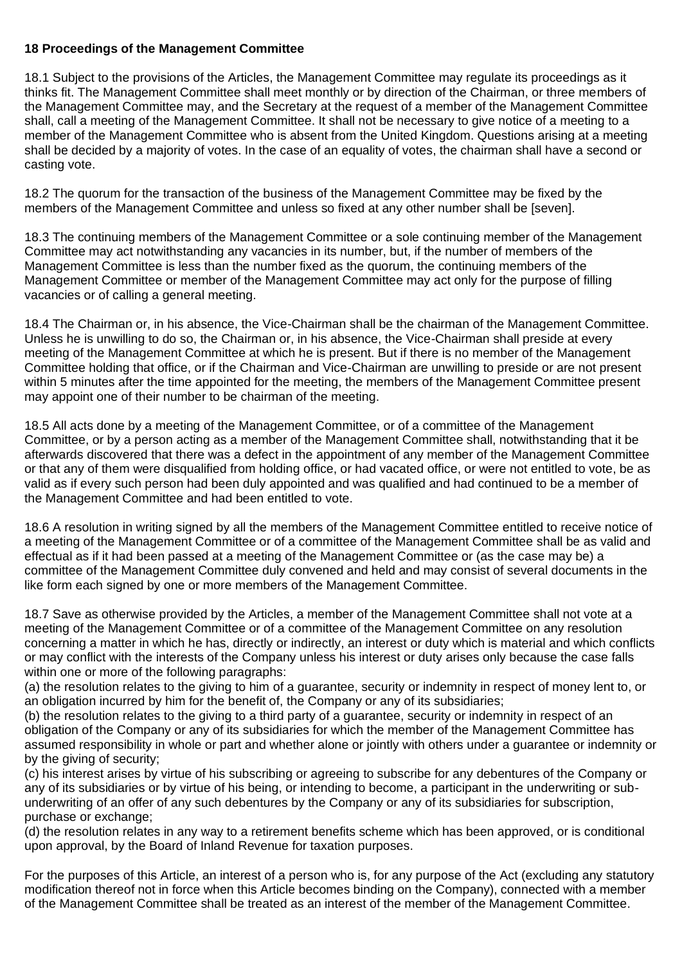### **18 Proceedings of the Management Committee**

18.1 Subject to the provisions of the Articles, the Management Committee may regulate its proceedings as it thinks fit. The Management Committee shall meet monthly or by direction of the Chairman, or three members of the Management Committee may, and the Secretary at the request of a member of the Management Committee shall, call a meeting of the Management Committee. It shall not be necessary to give notice of a meeting to a member of the Management Committee who is absent from the United Kingdom. Questions arising at a meeting shall be decided by a majority of votes. In the case of an equality of votes, the chairman shall have a second or casting vote.

18.2 The quorum for the transaction of the business of the Management Committee may be fixed by the members of the Management Committee and unless so fixed at any other number shall be [seven].

18.3 The continuing members of the Management Committee or a sole continuing member of the Management Committee may act notwithstanding any vacancies in its number, but, if the number of members of the Management Committee is less than the number fixed as the quorum, the continuing members of the Management Committee or member of the Management Committee may act only for the purpose of filling vacancies or of calling a general meeting.

18.4 The Chairman or, in his absence, the Vice-Chairman shall be the chairman of the Management Committee. Unless he is unwilling to do so, the Chairman or, in his absence, the Vice-Chairman shall preside at every meeting of the Management Committee at which he is present. But if there is no member of the Management Committee holding that office, or if the Chairman and Vice-Chairman are unwilling to preside or are not present within 5 minutes after the time appointed for the meeting, the members of the Management Committee present may appoint one of their number to be chairman of the meeting.

18.5 All acts done by a meeting of the Management Committee, or of a committee of the Management Committee, or by a person acting as a member of the Management Committee shall, notwithstanding that it be afterwards discovered that there was a defect in the appointment of any member of the Management Committee or that any of them were disqualified from holding office, or had vacated office, or were not entitled to vote, be as valid as if every such person had been duly appointed and was qualified and had continued to be a member of the Management Committee and had been entitled to vote.

18.6 A resolution in writing signed by all the members of the Management Committee entitled to receive notice of a meeting of the Management Committee or of a committee of the Management Committee shall be as valid and effectual as if it had been passed at a meeting of the Management Committee or (as the case may be) a committee of the Management Committee duly convened and held and may consist of several documents in the like form each signed by one or more members of the Management Committee.

18.7 Save as otherwise provided by the Articles, a member of the Management Committee shall not vote at a meeting of the Management Committee or of a committee of the Management Committee on any resolution concerning a matter in which he has, directly or indirectly, an interest or duty which is material and which conflicts or may conflict with the interests of the Company unless his interest or duty arises only because the case falls within one or more of the following paragraphs:

(a) the resolution relates to the giving to him of a guarantee, security or indemnity in respect of money lent to, or an obligation incurred by him for the benefit of, the Company or any of its subsidiaries;

(b) the resolution relates to the giving to a third party of a guarantee, security or indemnity in respect of an obligation of the Company or any of its subsidiaries for which the member of the Management Committee has assumed responsibility in whole or part and whether alone or jointly with others under a guarantee or indemnity or by the giving of security;

(c) his interest arises by virtue of his subscribing or agreeing to subscribe for any debentures of the Company or any of its subsidiaries or by virtue of his being, or intending to become, a participant in the underwriting or subunderwriting of an offer of any such debentures by the Company or any of its subsidiaries for subscription, purchase or exchange;

(d) the resolution relates in any way to a retirement benefits scheme which has been approved, or is conditional upon approval, by the Board of Inland Revenue for taxation purposes.

For the purposes of this Article, an interest of a person who is, for any purpose of the Act (excluding any statutory modification thereof not in force when this Article becomes binding on the Company), connected with a member of the Management Committee shall be treated as an interest of the member of the Management Committee.